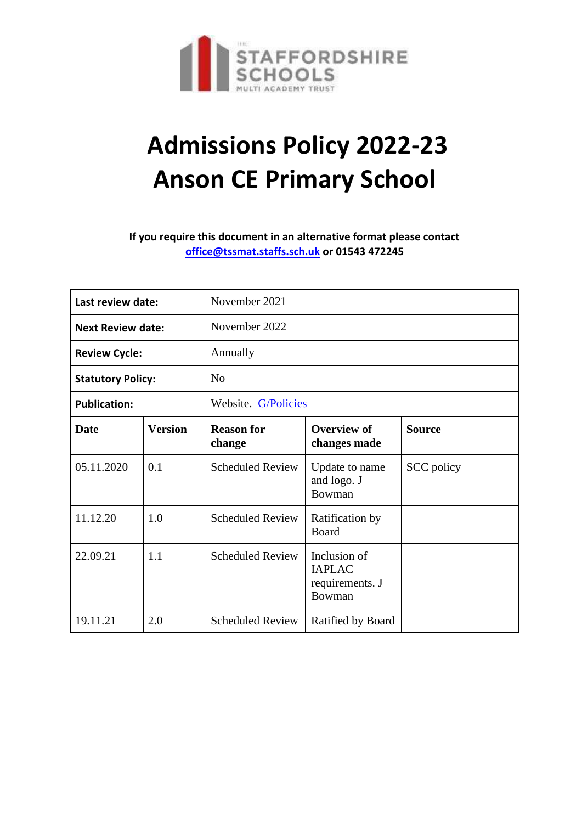

# **Admissions Policy 2022-23 Anson CE Primary School**

**If you require this document in an alternative format please contact [office@tssmat.staffs.sch.uk](mailto:office@tssmat.staffs.sch.uk) or 01543 472245**

| Last review date:        |                | November 2021               |                                                            |               |  |
|--------------------------|----------------|-----------------------------|------------------------------------------------------------|---------------|--|
| <b>Next Review date:</b> |                | November 2022               |                                                            |               |  |
| <b>Review Cycle:</b>     |                | Annually                    |                                                            |               |  |
| <b>Statutory Policy:</b> |                | No                          |                                                            |               |  |
| <b>Publication:</b>      |                | Website. G/Policies         |                                                            |               |  |
| <b>Date</b>              | <b>Version</b> | <b>Reason for</b><br>change | <b>Overview of</b><br>changes made                         | <b>Source</b> |  |
| 05.11.2020               | 0.1            | <b>Scheduled Review</b>     | Update to name<br>and logo. J<br>Bowman                    | SCC policy    |  |
| 11.12.20                 | 1.0            | <b>Scheduled Review</b>     | Ratification by<br><b>Board</b>                            |               |  |
| 22.09.21                 | 1.1            | <b>Scheduled Review</b>     | Inclusion of<br><b>IAPLAC</b><br>requirements. J<br>Bowman |               |  |
| 19.11.21                 | 2.0            | <b>Scheduled Review</b>     | Ratified by Board                                          |               |  |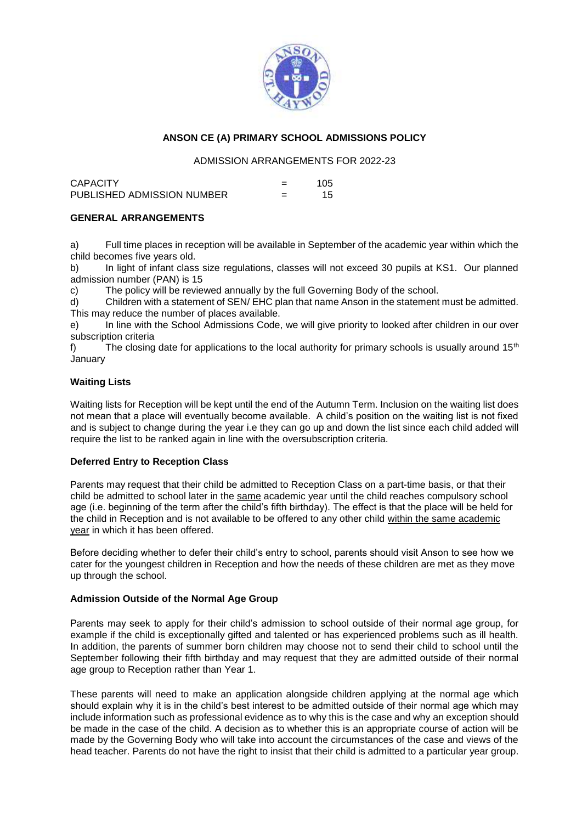

### **ANSON CE (A) PRIMARY SCHOOL ADMISSIONS POLICY**

#### ADMISSION ARRANGEMENTS FOR 2022-23

| <b>CAPACITY</b>            |   | 105 |
|----------------------------|---|-----|
| PUBLISHED ADMISSION NUMBER | = | 15  |

#### **GENERAL ARRANGEMENTS**

a) Full time places in reception will be available in September of the academic year within which the child becomes five years old.

b) In light of infant class size regulations, classes will not exceed 30 pupils at KS1. Our planned admission number (PAN) is 15

c) The policy will be reviewed annually by the full Governing Body of the school.

d) Children with a statement of SEN/ EHC plan that name Anson in the statement must be admitted. This may reduce the number of places available.

e) In line with the School Admissions Code, we will give priority to looked after children in our over subscription criteria

f) The closing date for applications to the local authority for primary schools is usually around  $15<sup>th</sup>$ January

#### **Waiting Lists**

Waiting lists for Reception will be kept until the end of the Autumn Term. Inclusion on the waiting list does not mean that a place will eventually become available. A child's position on the waiting list is not fixed and is subject to change during the year i.e they can go up and down the list since each child added will require the list to be ranked again in line with the oversubscription criteria.

#### **Deferred Entry to Reception Class**

Parents may request that their child be admitted to Reception Class on a part-time basis, or that their child be admitted to school later in the same academic year until the child reaches compulsory school age (i.e. beginning of the term after the child's fifth birthday). The effect is that the place will be held for the child in Reception and is not available to be offered to any other child within the same academic year in which it has been offered.

Before deciding whether to defer their child's entry to school, parents should visit Anson to see how we cater for the youngest children in Reception and how the needs of these children are met as they move up through the school.

#### **Admission Outside of the Normal Age Group**

Parents may seek to apply for their child's admission to school outside of their normal age group, for example if the child is exceptionally gifted and talented or has experienced problems such as ill health. In addition, the parents of summer born children may choose not to send their child to school until the September following their fifth birthday and may request that they are admitted outside of their normal age group to Reception rather than Year 1.

These parents will need to make an application alongside children applying at the normal age which should explain why it is in the child's best interest to be admitted outside of their normal age which may include information such as professional evidence as to why this is the case and why an exception should be made in the case of the child. A decision as to whether this is an appropriate course of action will be made by the Governing Body who will take into account the circumstances of the case and views of the head teacher. Parents do not have the right to insist that their child is admitted to a particular year group.